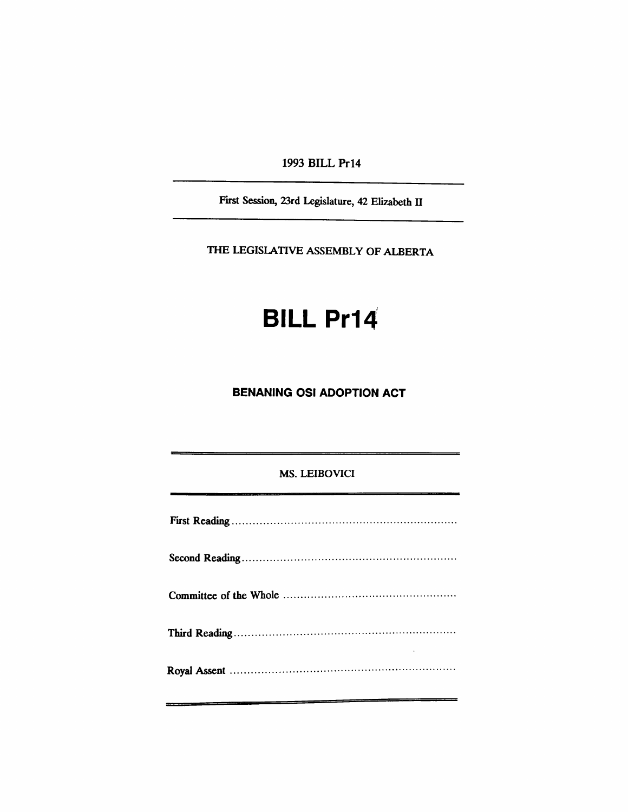1993 BILL Pr14

First Session, 23rd Legislature, 42 Elizabeth II

THE LEGISlATIVE ASSEMBLY OF ALBERTA

# **BILL Pr14**

### **BENANING OSI ADOPTION ACT**

#### MS. LEIBOVICI